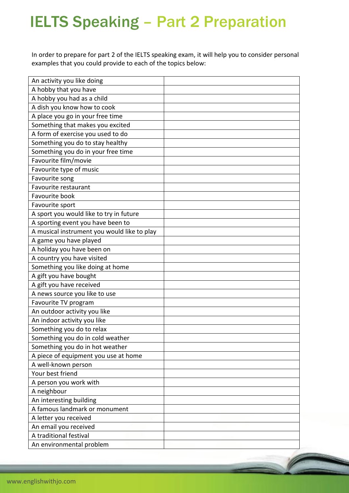## IELTS Speaking – Part 2 Preparation

In order to prepare for part 2 of the IELTS speaking exam, it will help you to consider personal examples that you could provide to each of the topics below:

| An activity you like doing                  |  |
|---------------------------------------------|--|
| A hobby that you have                       |  |
| A hobby you had as a child                  |  |
| A dish you know how to cook                 |  |
| A place you go in your free time            |  |
| Something that makes you excited            |  |
| A form of exercise you used to do           |  |
| Something you do to stay healthy            |  |
| Something you do in your free time          |  |
| Favourite film/movie                        |  |
| Favourite type of music                     |  |
| Favourite song                              |  |
| Favourite restaurant                        |  |
| Favourite book                              |  |
| Favourite sport                             |  |
| A sport you would like to try in future     |  |
| A sporting event you have been to           |  |
| A musical instrument you would like to play |  |
| A game you have played                      |  |
| A holiday you have been on                  |  |
| A country you have visited                  |  |
| Something you like doing at home            |  |
| A gift you have bought                      |  |
| A gift you have received                    |  |
| A news source you like to use               |  |
| Favourite TV program                        |  |
| An outdoor activity you like                |  |
| An indoor activity you like                 |  |
| Something you do to relax                   |  |
| Something you do in cold weather            |  |
| Something you do in hot weather             |  |
| A piece of equipment you use at home        |  |
| A well-known person                         |  |
| Your best friend                            |  |
| A person you work with                      |  |
| A neighbour                                 |  |
| An interesting building                     |  |
| A famous landmark or monument               |  |
| A letter you received                       |  |
| An email you received                       |  |
| A traditional festival                      |  |
| An environmental problem                    |  |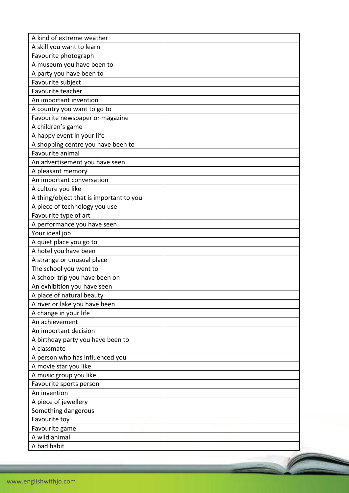| A kind of extreme weather               |  |
|-----------------------------------------|--|
| A skill you want to learn               |  |
| Favourite photograph                    |  |
| A museum you have been to               |  |
| A party you have been to                |  |
| Favourite subject                       |  |
| Favourite teacher                       |  |
| An important invention                  |  |
| A country you want to go to             |  |
| Favourite newspaper or magazine         |  |
| A children's game                       |  |
| A happy event in your life              |  |
| A shopping centre you have been to      |  |
| Favourite animal                        |  |
| An advertisement you have seen          |  |
| A pleasant memory                       |  |
| An important conversation               |  |
| A culture you like                      |  |
| A thing/object that is important to you |  |
| A piece of technology you use           |  |
| Favourite type of art                   |  |
| A performance you have seen             |  |
| Your ideal job                          |  |
| A quiet place you go to                 |  |
| A hotel you have been                   |  |
| A strange or unusual place              |  |
| The school you went to                  |  |
| A school trip you have been on          |  |
| An exhibition you have seen             |  |
| A place of natural beauty               |  |
| A river or lake you have been           |  |
| A change in your life                   |  |
| An achievement                          |  |
| An important decision                   |  |
| A birthday party you have been to       |  |
| A classmate                             |  |
| A person who has influenced you         |  |
| A movie star you like                   |  |
| A music group you like                  |  |
| Favourite sports person                 |  |
| An invention                            |  |
| A piece of jewellery                    |  |
| Something dangerous                     |  |
| Favourite toy                           |  |
| Favourite game                          |  |
| A wild animal                           |  |
| A bad habit                             |  |